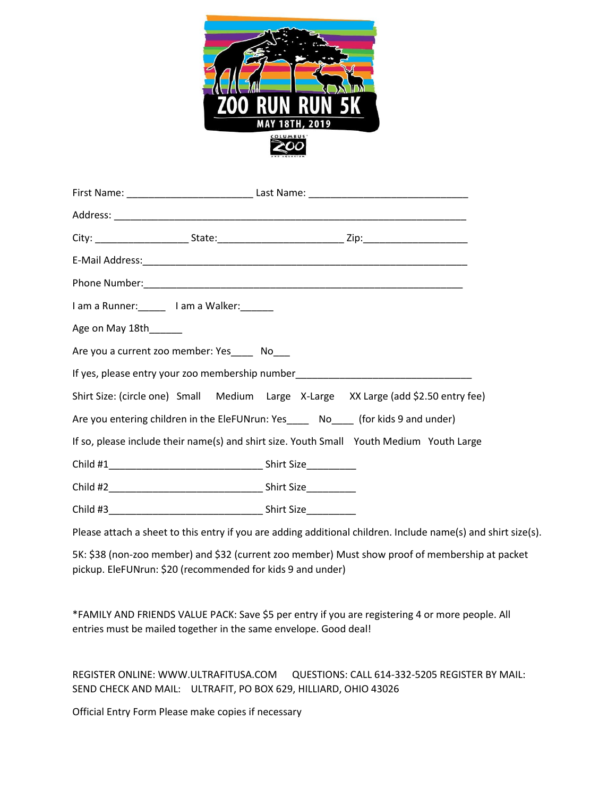

| I am a Runner: ______ I am a Walker: _______                                             |  |  |
|------------------------------------------------------------------------------------------|--|--|
| Age on May 18th_____                                                                     |  |  |
| Are you a current zoo member: Yes______ No___                                            |  |  |
| If yes, please entry your zoo membership number_________________________________         |  |  |
| Shirt Size: (circle one) Small Medium Large X-Large XX Large (add \$2.50 entry fee)      |  |  |
| Are you entering children in the EleFUNrun: Yes_____ No____ (for kids 9 and under)       |  |  |
| If so, please include their name(s) and shirt size. Youth Small Youth Medium Youth Large |  |  |
|                                                                                          |  |  |
|                                                                                          |  |  |
|                                                                                          |  |  |

Please attach a sheet to this entry if you are adding additional children. Include name(s) and shirt size(s).

5K: \$38 (non-zoo member) and \$32 (current zoo member) Must show proof of membership at packet pickup. EleFUNrun: \$20 (recommended for kids 9 and under)

\*FAMILY AND FRIENDS VALUE PACK: Save \$5 per entry if you are registering 4 or more people. All entries must be mailed together in the same envelope. Good deal!

REGISTER ONLINE: WWW.ULTRAFITUSA.COM QUESTIONS: CALL 614-332-5205 REGISTER BY MAIL: SEND CHECK AND MAIL: ULTRAFIT, PO BOX 629, HILLIARD, OHIO 43026

Official Entry Form Please make copies if necessary